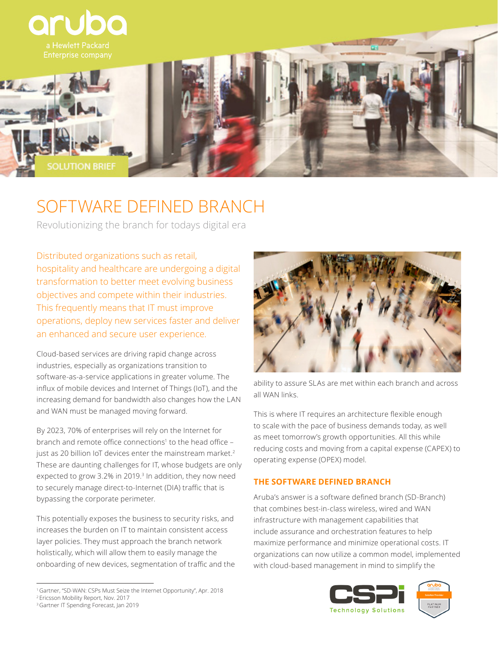

# SOFTWARE DEFINED BRANCH

Revolutionizing the branch for todays digital era

Distributed organizations such as retail, hospitality and healthcare are undergoing a digital transformation to better meet evolving business objectives and compete within their industries. This frequently means that IT must improve operations, deploy new services faster and deliver an enhanced and secure user experience.

Cloud-based services are driving rapid change across industries, especially as organizations transition to software-as-a-service applications in greater volume. The influx of mobile devices and Internet of Things (IoT), and the increasing demand for bandwidth also changes how the LAN and WAN must be managed moving forward.

By 2023, 70% of enterprises will rely on the Internet for branch and remote office connections<sup>1</sup> to the head office just as 20 billion IoT devices enter the mainstream market.<sup>2</sup> These are daunting challenges for IT, whose budgets are only expected to grow 3.2% in 2019.<sup>3</sup> In addition, they now need to securely manage direct-to-Internet (DIA) traffic that is bypassing the corporate perimeter.

This potentially exposes the business to security risks, and increases the burden on IT to maintain consistent access layer policies. They must approach the branch network holistically, which will allow them to easily manage the onboarding of new devices, segmentation of traffic and the



ability to assure SLAs are met within each branch and across all WAN links.

This is where IT requires an architecture flexible enough to scale with the pace of business demands today, as well as meet tomorrow's growth opportunities. All this while reducing costs and moving from a capital expense (CAPEX) to operating expense (OPEX) model.

## **THE SOFTWARE DEFINED BRANCH**

Aruba's answer is a software defined branch (SD-Branch) that combines best-in-class wireless, wired and WAN infrastructure with management capabilities that include assurance and orchestration features to help maximize performance and minimize operational costs. IT organizations can now utilize a common model, implemented with cloud-based management in mind to simplify the



<sup>1</sup>Gartner, "SD-WAN: CSPs Must Seize the Internet Opportunity", Apr. 2018 <sup>2</sup>Ericsson Mobility Report, Nov. 2017

<sup>&</sup>lt;sup>3</sup> Gartner IT Spending Forecast, Jan 2019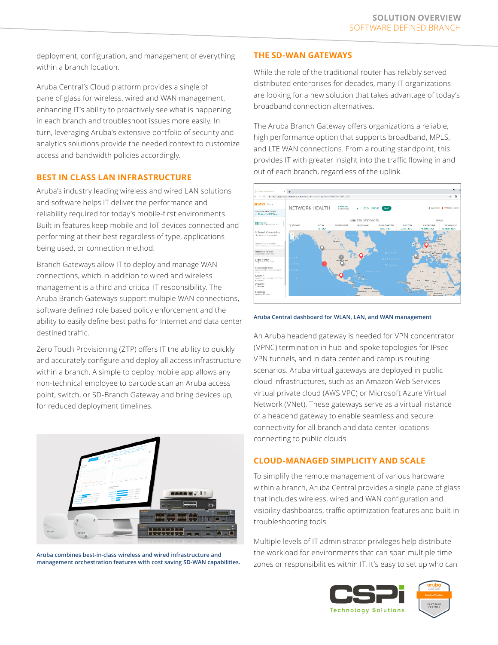deployment, configuration, and management of everything within a branch location.

Aruba Central's Cloud platform provides a single of pane of glass for wireless, wired and WAN management, enhancing IT's ability to proactively see what is happening in each branch and troubleshoot issues more easily. In turn, leveraging Aruba's extensive portfolio of security and analytics solutions provide the needed context to customize access and bandwidth policies accordingly.

## **BEST IN CLASS LAN INFRASTRUCTURE**

Aruba's industry leading wireless and wired LAN solutions and software helps IT deliver the performance and reliability required for today's mobile-first environments. Built-in features keep mobile and IoT devices connected and performing at their best regardless of type, applications being used, or connection method.

Branch Gateways allow IT to deploy and manage WAN connections, which in addition to wired and wireless management is a third and critical IT responsibility. The Aruba Branch Gateways support multiple WAN connections, software defined role based policy enforcement and the ability to easily define best paths for Internet and data center destined traffic.

Zero Touch Provisioning (ZTP) offers IT the ability to quickly and accurately configure and deploy all access infrastructure within a branch. A simple to deploy mobile app allows any non-technical employee to barcode scan an Aruba access point, switch, or SD-Branch Gateway and bring devices up, for reduced deployment timelines.



**Aruba combines best-in-class wireless and wired infrastructure and management orchestration features with cost saving SD-WAN capabilities.**

#### **THE SD-WAN GATEWAYS**

While the role of the traditional router has reliably served distributed enterprises for decades, many IT organizations are looking for a new solution that takes advantage of today's broadband connection alternatives.

The Aruba Branch Gateway offers organizations a reliable, high performance option that supports broadband, MPLS, and LTE WAN connections. From a routing standpoint, this provides IT with greater insight into the traffic flowing in and out of each branch, regardless of the uplink.



**Aruba Central dashboard for WLAN, LAN, and WAN management**

An Aruba headend gateway is needed for VPN concentrator (VPNC) termination in hub-and-spoke topologies for IPsec VPN tunnels, and in data center and campus routing scenarios. Aruba virtual gateways are deployed in public cloud infrastructures, such as an Amazon Web Services virtual private cloud (AWS VPC) or Microsoft Azure Virtual Network (VNet). These gateways serve as a virtual instance of a headend gateway to enable seamless and secure connectivity for all branch and data center locations connecting to public clouds.

## **CLOUD-MANAGED SIMPLICITY AND SCALE**

To simplify the remote management of various hardware within a branch, Aruba Central provides a single pane of glass that includes wireless, wired and WAN configuration and visibility dashboards, traffic optimization features and built-in troubleshooting tools.

Multiple levels of IT administrator privileges help distribute the workload for environments that can span multiple time zones or responsibilities within IT. It's easy to set up who can